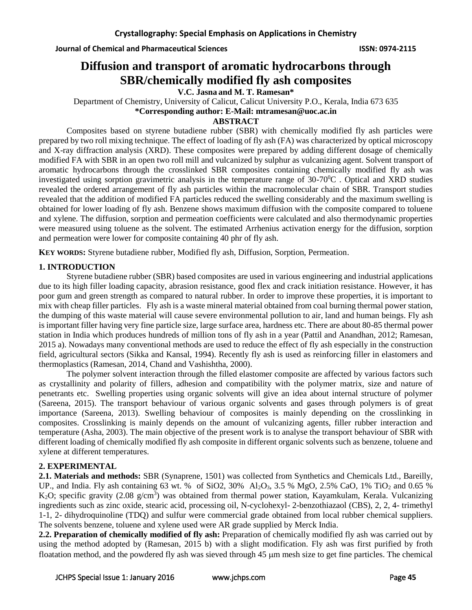# **Diffusion and transport of aromatic hydrocarbons through SBR/chemically modified fly ash composites**

**V.C. Jasna and M. T. Ramesan\***

Department of Chemistry, University of Calicut, Calicut University P.O., Kerala, India 673 635 **\*Corresponding author: E-Mail: mtramesan@uoc.ac.in**

#### **ABSTRACT**

Composites based on styrene butadiene rubber (SBR) with chemically modified fly ash particles were prepared by two roll mixing technique. The effect of loading of fly ash (FA) was characterized by optical microscopy and X-ray diffraction analysis (XRD). These composites were prepared by adding different dosage of chemically modified FA with SBR in an open two roll mill and vulcanized by sulphur as vulcanizing agent. Solvent transport of aromatic hydrocarbons through the crosslinked SBR composites containing chemically modified fly ash was investigated using sorption gravimetric analysis in the temperature range of 30-70<sup>o</sup>C. Optical and XRD studies revealed the ordered arrangement of fly ash particles within the macromolecular chain of SBR. Transport studies revealed that the addition of modified FA particles reduced the swelling considerably and the maximum swelling is obtained for lower loading of fly ash. Benzene shows maximum diffusion with the composite compared to toluene and xylene. The diffusion, sorption and permeation coefficients were calculated and also thermodynamic properties were measured using toluene as the solvent. The estimated Arrhenius activation energy for the diffusion, sorption and permeation were lower for composite containing 40 phr of fly ash.

**KEY WORDS:** Styrene butadiene rubber, Modified fly ash, Diffusion, Sorption, Permeation.

# **1. INTRODUCTION**

Styrene butadiene rubber (SBR) based composites are used in various engineering and industrial applications due to its high filler loading capacity, abrasion resistance, good flex and crack initiation resistance. However, it has poor gum and green strength as compared to natural rubber. In order to improve these properties, it is important to mix with cheap filler particles. Fly ash is a waste mineral material obtained from coal burning thermal power station, the dumping of this waste material will cause severe environmental pollution to air, land and human beings. Fly ash is important filler having very fine particle size, large surface area, hardness etc. There are about 80-85 thermal power station in India which produces hundreds of million tons of fly ash in a year (Pattil and Anandhan, 2012; Ramesan, 2015 a). Nowadays many conventional methods are used to reduce the effect of fly ash especially in the construction field, agricultural sectors (Sikka and Kansal, 1994). Recently fly ash is used as reinforcing filler in elastomers and thermoplastics (Ramesan, 2014, Chand and Vashishtha, 2000).

The polymer solvent interaction through the filled elastomer composite are affected by various factors such as crystallinity and polarity of fillers, adhesion and compatibility with the polymer matrix, size and nature of penetrants etc. Swelling properties using organic solvents will give an idea about internal structure of polymer (Sareena, 2015). The transport behaviour of various organic solvents and gases through polymers is of great importance (Sareena, 2013). Swelling behaviour of composites is mainly depending on the crosslinking in composites. Crosslinking is mainly depends on the amount of vulcanizing agents, filler rubber interaction and temperature (Asha, 2003). The main objective of the present work is to analyse the transport behaviour of SBR with different loading of chemically modified fly ash composite in different organic solvents such as benzene, toluene and xylene at different temperatures.

## **2. EXPERIMENTAL**

**2.1. Materials and methods:** SBR (Synaprene, 1501) was collected from Synthetics and Chemicals Ltd., Bareilly, UP., and India. Fly ash containing 63 wt. % of SiO2,  $30\%$  Al<sub>2</sub>O<sub>3</sub>,  $3.5\%$  MgO,  $2.5\%$  CaO,  $1\%$  TiO<sub>2</sub> and 0.65 % K<sub>2</sub>O; specific gravity (2.08 g/cm<sup>3</sup>) was obtained from thermal power station, Kayamkulam, Kerala. Vulcanizing ingredients such as zinc oxide, stearic acid, processing oil, N-cyclohexyl- 2-benzothiazaol (CBS), 2, 2, 4- trimethyl 1-1, 2- dihydroquinoline (TDQ) and sulfur were commercial grade obtained from local rubber chemical suppliers. The solvents benzene, toluene and xylene used were AR grade supplied by Merck India.

**2.2. Preparation of chemically modified of fly ash:** Preparation of chemically modified fly ash was carried out by using the method adopted by (Ramesan, 2015 b) with a slight modification. Fly ash was first purified by froth floatation method, and the powdered fly ash was sieved through 45  $\mu$ m mesh size to get fine particles. The chemical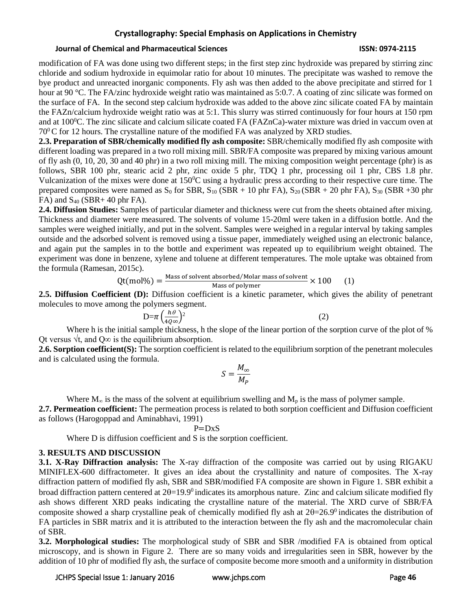#### **Journal of Chemical and Pharmaceutical Sciences ISSN: 0974-2115**

modification of FA was done using two different steps; in the first step zinc hydroxide was prepared by stirring zinc chloride and sodium hydroxide in equimolar ratio for about 10 minutes. The precipitate was washed to remove the bye product and unreacted inorganic components. Fly ash was then added to the above precipitate and stirred for 1 hour at 90 °C. The FA/zinc hydroxide weight ratio was maintained as 5:0.7. A coating of zinc silicate was formed on the surface of FA. In the second step calcium hydroxide was added to the above zinc silicate coated FA by maintain the FAZn/calcium hydroxide weight ratio was at 5:1. This slurry was stirred continuously for four hours at 150 rpm and at  $100\textdegree$ C. The zinc silicate and calcium silicate coated FA (FAZnCa)-water mixture was dried in vaccum oven at  $70^{\circ}$ C for 12 hours. The crystalline nature of the modified FA was analyzed by XRD studies.

**2.3. Preparation of SBR/chemically modified fly ash composite:** SBR/chemically modified fly ash composite with different loading was prepared in a two roll mixing mill. SBR/FA composite was prepared by mixing various amount of fly ash (0, 10, 20, 30 and 40 phr) in a two roll mixing mill. The mixing composition weight percentage (phr) is as follows, SBR 100 phr, stearic acid 2 phr, zinc oxide 5 phr, TDQ 1 phr, processing oil 1 phr, CBS 1.8 phr. Vulcanization of the mixes were done at 150<sup>0</sup>C using a hydraulic press according to their respective cure time. The prepared composites were named as  $S_0$  for SBR,  $S_{10}$  (SBR + 10 phr FA),  $S_{20}$  (SBR + 20 phr FA),  $S_{30}$  (SBR +30 phr  $FA)$  and  $S_{40}$  (SBR+ 40 phr FA).

**2.4. Diffusion Studies:** Samples of particular diameter and thickness were cut from the sheets obtained after mixing. Thickness and diameter were measured. The solvents of volume 15-20ml were taken in a diffusion bottle. And the samples were weighed initially, and put in the solvent. Samples were weighed in a regular interval by taking samples outside and the adsorbed solvent is removed using a tissue paper, immediately weighed using an electronic balance, and again put the samples in to the bottle and experiment was repeated up to equilibrium weight obtained. The experiment was done in benzene, xylene and toluene at different temperatures. The mole uptake was obtained from the formula (Ramesan, 2015c).

$$
Qt (mol\%) = \frac{Mass of solvent absorbed/Molar mass of solvent}{Mass of polymer} \times 100
$$
 (1)

**2.5. Diffusion Coefficient (D):** Diffusion coefficient is a kinetic parameter, which gives the ability of penetrant molecules to move among the polymers segment.

$$
D=\pi \left(\frac{h\theta}{4Q\infty}\right)^2
$$
\n(2)

Where h is the initial sample thickness, h the slope of the linear portion of the sorption curve of the plot of % Ot versus  $\sqrt{t}$ , and O∞ is the equilibrium absorption.

**2.6. Sorption coefficient(S):** The sorption coefficient is related to the equilibrium sorption of the penetrant molecules and is calculated using the formula.

$$
S=\frac{M_{\infty}}{M_P}
$$

Where  $M_{\infty}$  is the mass of the solvent at equilibrium swelling and  $M_{p}$  is the mass of polymer sample.

**2.7. Permeation coefficient:** The permeation process is related to both sorption coefficient and Diffusion coefficient as follows (Harogoppad and Aminabhavi, 1991)

$$
P = D \times S
$$

Where D is diffusion coefficient and S is the sorption coefficient.

## **3. RESULTS AND DISCUSSION**

**3.1. X-Ray Diffraction analysis:** The X-ray diffraction of the composite was carried out by using RIGAKU MINIFLEX-600 diffractometer. It gives an idea about the crystallinity and nature of composites. The X-ray diffraction pattern of modified fly ash, SBR and SBR/modified FA composite are shown in Figure 1. SBR exhibit a broad diffraction pattern centered at  $2\theta=19.9^{\circ}$  indicates its amorphous nature. Zinc and calcium silicate modified fly ash shows different XRD peaks indicating the crystalline nature of the material. The XRD curve of SBR/FA composite showed a sharp crystalline peak of chemically modified fly ash at  $2\theta = 26.9^{\circ}$  indicates the distribution of FA particles in SBR matrix and it is attributed to the interaction between the fly ash and the macromolecular chain of SBR.

**3.2. Morphological studies:** The morphological study of SBR and SBR /modified FA is obtained from optical microscopy, and is shown in Figure 2. There are so many voids and irregularities seen in SBR, however by the addition of 10 phr of modified fly ash, the surface of composite become more smooth and a uniformity in distribution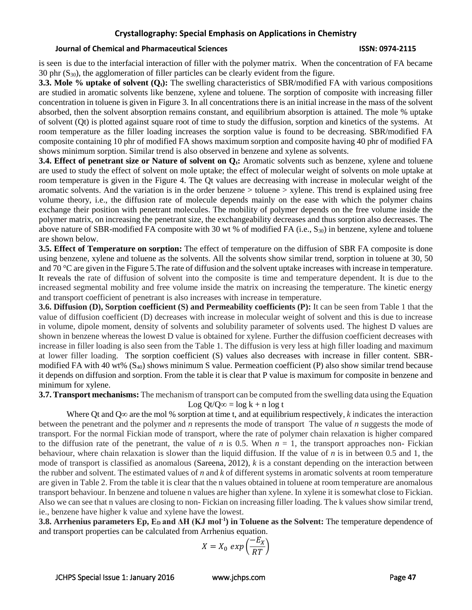#### **Journal of Chemical and Pharmaceutical Sciences ISSN: 0974-2115**

is seen is due to the interfacial interaction of filler with the polymer matrix. When the concentration of FA became 30 phr  $(S_{30})$ , the agglomeration of filler particles can be clearly evident from the figure.

**3.3. Mole % uptake of solvent (Q<sub>t</sub>**): The swelling characteristics of SBR/modified FA with various compositions are studied in aromatic solvents like benzene, xylene and toluene. The sorption of composite with increasing filler concentration in toluene is given in Figure 3. In all concentrations there is an initial increase in the mass of the solvent absorbed, then the solvent absorption remains constant, and equilibrium absorption is attained. The mole % uptake of solvent (Qt) is plotted against square root of time to study the diffusion, sorption and kinetics of the systems. At room temperature as the filler loading increases the sorption value is found to be decreasing. SBR/modified FA composite containing 10 phr of modified FA shows maximum sorption and composite having 40 phr of modified FA shows minimum sorption. Similar trend is also observed in benzene and xylene as solvents.

**3.4. Effect of penetrant size or Nature of solvent on**  $Q_t$ **: Aromatic solvents such as benzene, xylene and toluene** are used to study the effect of solvent on mole uptake; the effect of molecular weight of solvents on mole uptake at room temperature is given in the Figure 4. The Qt values are decreasing with increase in molecular weight of the aromatic solvents. And the variation is in the order benzene > toluene > xylene. This trend is explained using free volume theory, i.e., the diffusion rate of molecule depends mainly on the ease with which the polymer chains exchange their position with penetrant molecules. The mobility of polymer depends on the free volume inside the polymer matrix, on increasing the penetrant size, the exchangeability decreases and thus sorption also decreases. The above nature of SBR-modified FA composite with 30 wt % of modified FA (i.e.,  $S_{30}$ ) in benzene, xylene and toluene are shown below.

**3.5. Effect of Temperature on sorption:** The effect of temperature on the diffusion of SBR FA composite is done using benzene, xylene and toluene as the solvents. All the solvents show similar trend, sorption in toluene at 30, 50 and 70 °C are given in the Figure 5. The rate of diffusion and the solvent uptake increases with increase in temperature. It reveals the rate of diffusion of solvent into the composite is time and temperature dependent. It is due to the increased segmental mobility and free volume inside the matrix on increasing the temperature. The kinetic energy and transport coefficient of penetrant is also increases with increase in temperature.

**3.6. Diffusion (D), Sorption coefficient (S) and Permeability coefficients (P):** It can be seen from Table 1 that the value of diffusion coefficient (D) decreases with increase in molecular weight of solvent and this is due to increase in volume, dipole moment, density of solvents and solubility parameter of solvents used. The highest D values are shown in benzene whereas the lowest D value is obtained for xylene. Further the diffusion coefficient decreases with increase in filler loading is also seen from the Table 1. The diffusion is very less at high filler loading and maximum at lower filler loading. The sorption coefficient (S) values also decreases with increase in filler content. SBRmodified FA with 40 wt%  $(S_{40})$  shows minimum S value. Permeation coefficient (P) also show similar trend because it depends on diffusion and sorption. From the table it is clear that P value is maximum for composite in benzene and minimum for xylene.

**3.7. Transport mechanisms:** The mechanism of transport can be computed from the swelling data using the Equation

Log Qt/Q∞ =  $\log k$  + n  $\log t$ 

Where Qt and Q∞ are the mol % sorption at time t, and at equilibrium respectively, *k* indicates the interaction between the penetrant and the polymer and *n* represents the mode of transport The value of *n* suggests the mode of transport. For the normal Fickian mode of transport, where the rate of polymer chain relaxation is higher compared to the diffusion rate of the penetrant, the value of *n* is 0.5. When  $n = 1$ , the transport approaches non- Fickian behaviour, where chain relaxation is slower than the liquid diffusion. If the value of *n* is in between 0.5 and 1, the mode of transport is classified as anomalous (Sareena, 2012), *k* is a constant depending on the interaction between the rubber and solvent. The estimated values of *n* and *k* of different systems in aromatic solvents at room temperature are given in Table 2. From the table it is clear that the n values obtained in toluene at room temperature are anomalous transport behaviour. In benzene and toluene n values are higher than xylene. In xylene it is somewhat close to Fickian. Also we can see that n values are closing to non- Fickian on increasing filler loading. The k values show similar trend, ie., benzene have higher k value and xylene have the lowest.

**3.8. Arrhenius parameters Ep, E<sup>D</sup> and ΔH (KJ mol-1 ) in Toluene as the Solvent:** The temperature dependence of and transport properties can be calculated from Arrhenius equation.

$$
X = X_0 \, \exp\left(\frac{-E_X}{RT}\right)
$$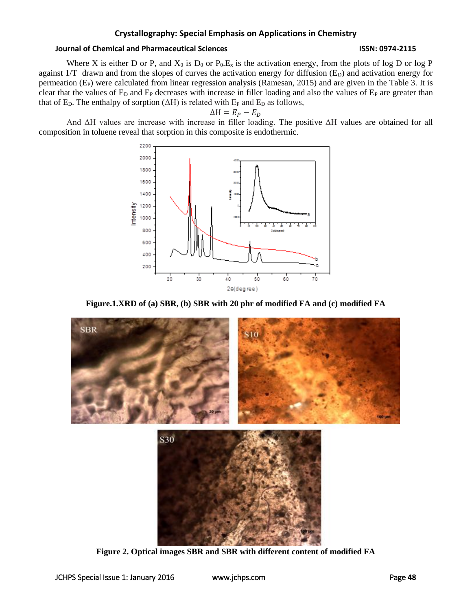#### **Journal of Chemical and Pharmaceutical Sciences ISSN: 0974-2115**

Where X is either D or P, and  $X_0$  is  $D_0$  or  $P_0.E_x$  is the activation energy, from the plots of log D or log P against  $1/T$  drawn and from the slopes of curves the activation energy for diffusion ( $E<sub>D</sub>$ ) and activation energy for permeation  $(E_P)$  were calculated from linear regression analysis (Ramesan, 2015) and are given in the Table 3. It is clear that the values of  $E_D$  and  $E_P$  decreases with increase in filler loading and also the values of  $E_P$  are greater than that of  $E<sub>D</sub>$ . The enthalpy of sorption ( $\Delta H$ ) is related with  $E<sub>P</sub>$  and  $E<sub>D</sub>$  as follows,

$$
\Delta H = E_P - E_D
$$

And ΔH values are increase with increase in filler loading. The positive ΔH values are obtained for all composition in toluene reveal that sorption in this composite is endothermic.







**Figure 2. Optical images SBR and SBR with different content of modified FA**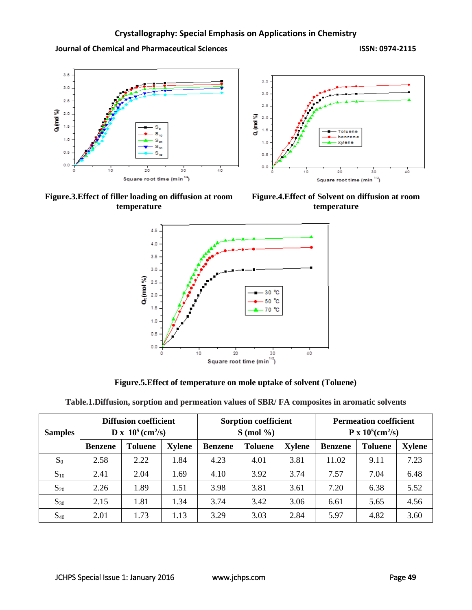**Journal of Chemical and Pharmaceutical Sciences ISSN: 0974-2115**





**Figure.4.Effect of Solvent on diffusion at room temperature**



**Figure.5.Effect of temperature on mole uptake of solvent (Toluene)**

|  |  |  | Table.1. Diffusion, sorption and permeation values of SBR/FA composites in aromatic solvents |
|--|--|--|----------------------------------------------------------------------------------------------|
|--|--|--|----------------------------------------------------------------------------------------------|

| <b>Samples</b> | <b>Diffusion coefficient</b><br>$D x 10^5$ (cm <sup>2</sup> /s) |                |               | <b>Sorption coefficient</b><br>$S \pmod{ \%}$     |      |                | <b>Permeation coefficient</b><br>$P \times 10^5$ (cm <sup>2</sup> /s) |               |      |
|----------------|-----------------------------------------------------------------|----------------|---------------|---------------------------------------------------|------|----------------|-----------------------------------------------------------------------|---------------|------|
|                | <b>Benzene</b>                                                  | <b>Toluene</b> | <b>Xylene</b> | <b>Xylene</b><br><b>Toluene</b><br><b>Benzene</b> |      | <b>Benzene</b> | <b>Toluene</b>                                                        | <b>Xylene</b> |      |
| $S_0$          | 2.58                                                            | 2.22           | 1.84          | 4.23                                              | 4.01 | 3.81           | 11.02                                                                 | 9.11          | 7.23 |
| $S_{10}$       | 2.41                                                            | 2.04           | 1.69          | 4.10                                              | 3.92 | 3.74           | 7.57                                                                  | 7.04          | 6.48 |
| $S_{20}$       | 2.26                                                            | 1.89           | 1.51          | 3.98                                              | 3.81 | 3.61           | 7.20                                                                  | 6.38          | 5.52 |
| $S_{30}$       | 2.15                                                            | 1.81           | 1.34          | 3.74                                              | 3.42 | 3.06           | 6.61                                                                  | 5.65          | 4.56 |
| $S_{40}$       | 2.01                                                            | 1.73           | 1.13          | 3.29                                              | 3.03 | 2.84           | 5.97                                                                  | 4.82          | 3.60 |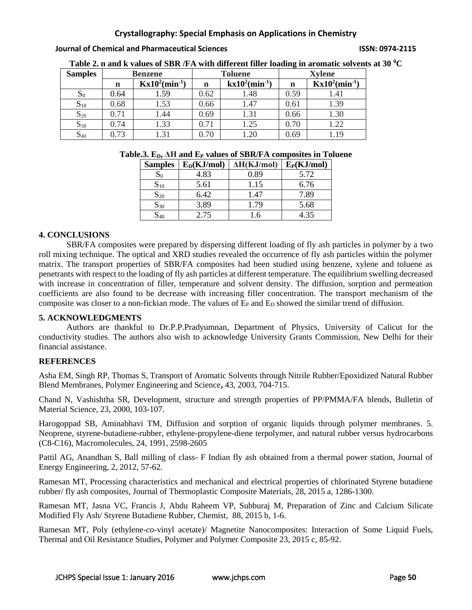**Journal of Chemical and Pharmaceutical Sciences ISSN: 0974-2115**

| <b>Samples</b> |            | <b>Benzene</b>                |            | <b>Toluene</b>                | <b>Xylene</b> |                               |  |
|----------------|------------|-------------------------------|------------|-------------------------------|---------------|-------------------------------|--|
|                | n          | $Kx10^2$ (min <sup>-1</sup> ) | n          | $kx10^2$ (min <sup>-1</sup> ) | n             | $Kx10^2$ (min <sup>-1</sup> ) |  |
| $S_0$          | 0.64       | 1.59                          | 0.62       | 1.48                          | 0.59          | 1.41                          |  |
| $S_{10}$       | 0.68       | 1.53                          | 0.66       | 1.47                          | 0.61          | 1.39                          |  |
| $S_{20}$       | $\rm 0.71$ | 1.44                          | 0.69       | 1.31                          | 0.66          | 1.30                          |  |
| $S_{30}$       | 0.74       | 1.33                          | $0.71\,$   | 1.25                          | 0.70          | 1.22                          |  |
| $S_{40}$       | 73         | .31                           | $\rm 0.70$ |                               | 0.69          |                               |  |

**Table 2. n and k values of SBR /FA with different filler loading in aromatic solvents at 30 <sup>0</sup>C**

|  |  |  | Table.3. $E_D$ , $\Delta H$ and $E_P$ values of SBR/FA composites in Toluene |  |  |  |
|--|--|--|------------------------------------------------------------------------------|--|--|--|
|  |  |  |                                                                              |  |  |  |

| <b>Samples</b> | $E_D$ (KJ/mol) | $\Delta H(KJ/mol)$ | $E_P(KJ/mol)$ |
|----------------|----------------|--------------------|---------------|
| $S_0$          | 4.83           | 0.89               | 5.72          |
| $S_{10}$       | 5.61           | 1.15               | 6.76          |
| $S_{20}$       | 6.42           | 1.47               | 7.89          |
| $S_{30}$       | 3.89           | 1.79               | 5.68          |
| 540            | 2.75           | 1.6                | 4.35          |

## **4. CONCLUSIONS**

SBR/FA composites were prepared by dispersing different loading of fly ash particles in polymer by a two roll mixing technique. The optical and XRD studies revealed the occurrence of fly ash particles within the polymer matrix. The transport properties of SBR/FA composites had been studied using benzene, xylene and toluene as penetrants with respect to the loading of fly ash particles at different temperature. The equilibrium swelling decreased with increase in concentration of filler, temperature and solvent density. The diffusion, sorption and permeation coefficients are also found to be decrease with increasing filler concentration. The transport mechanism of the composite was closer to a non-fickian mode. The values of  $E<sub>P</sub>$  and  $E<sub>D</sub>$  showed the similar trend of diffusion.

## **5. ACKNOWLEDGMENTS**

Authors are thankful to Dr.P.P.Pradyumnan, Department of Physics, University of Calicut for the conductivity studies. The authors also wish to acknowledge University Grants Commission, New Delhi for their financial assistance.

## **REFERENCES**

Asha EM, Singh RP*,* Thomas S, Transport of Aromatic Solvents through Nitrile Rubber/Epoxidized Natural Rubber Blend Membranes, Polymer Engineering and Science**,** 43, 2003, 704-715.

Chand N, Vashishtha SR, Development, structure and strength properties of [PP/PMMA/FA](http://link.springer.com/article/10.1007/BF02706550) blends, Bulletin of Material Science, 23, 2000, 103-107.

Harogoppad SB, Aminabhavi TM, Diffusion and sorption of organic liquids through polymer membranes. 5. Neoprene, styrene-butadiene-rubber, ethylene-propylene-diene terpolymer, and natural rubber versus hydrocarbons (C8-C16), Macromolecules, 24, 1991, 2598-2605

Pattil AG, Anandhan S, Ball milling of class- F Indian fly ash obtained from a thermal power station, Journal of Energy Engineering, 2, 2012, 57-62.

Ramesan MT, Processing characteristics and mechanical and electrical properties of chlorinated Styrene butadiene rubber/ fly ash composites, Journal of Thermoplastic Composite Materials, 28, 2015 a, 1286-1300.

Ramesan MT, Jasna VC, Francis J, Abdu Raheem VP, Subburaj M, Preparation of Zinc and Calcium Silicate Modified Fly Ash/ Styrene Butadiene Rubber, Chemist, 88, 2015 b, 1-6.

Ramesan MT, Poly (ethylene-*co*-vinyl acetate)/ Magnetite Nanocomposites: Interaction of Some Liquid Fuels, Thermal and Oil Resistance Studies, Polymer and Polymer Composite 23, 2015 c, 85-92.